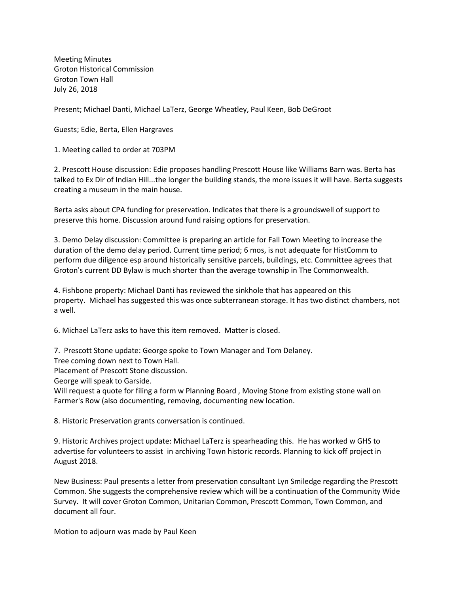Meeting Minutes Groton Historical Commission Groton Town Hall July 26, 2018

Present; Michael Danti, Michael LaTerz, George Wheatley, Paul Keen, Bob DeGroot

Guests; Edie, Berta, Ellen Hargraves

1. Meeting called to order at 703PM

2. Prescott House discussion: Edie proposes handling Prescott House like Williams Barn was. Berta has talked to Ex Dir of Indian Hill...the longer the building stands, the more issues it will have. Berta suggests creating a museum in the main house.

Berta asks about CPA funding for preservation. Indicates that there is a groundswell of support to preserve this home. Discussion around fund raising options for preservation.

3. Demo Delay discussion: Committee is preparing an article for Fall Town Meeting to increase the duration of the demo delay period. Current time period; 6 mos, is not adequate for HistComm to perform due diligence esp around historically sensitive parcels, buildings, etc. Committee agrees that Groton's current DD Bylaw is much shorter than the average township in The Commonwealth.

4. Fishbone property: Michael Danti has reviewed the sinkhole that has appeared on this property. Michael has suggested this was once subterranean storage. It has two distinct chambers, not a well.

6. Michael LaTerz asks to have this item removed. Matter is closed.

7. Prescott Stone update: George spoke to Town Manager and Tom Delaney.

Tree coming down next to Town Hall.

Placement of Prescott Stone discussion.

George will speak to Garside.

Will request a quote for filing a form w Planning Board , Moving Stone from existing stone wall on Farmer's Row (also documenting, removing, documenting new location.

8. Historic Preservation grants conversation is continued.

9. Historic Archives project update: Michael LaTerz is spearheading this. He has worked w GHS to advertise for volunteers to assist in archiving Town historic records. Planning to kick off project in August 2018.

New Business: Paul presents a letter from preservation consultant Lyn Smiledge regarding the Prescott Common. She suggests the comprehensive review which will be a continuation of the Community Wide Survey. It will cover Groton Common, Unitarian Common, Prescott Common, Town Common, and document all four.

Motion to adjourn was made by Paul Keen